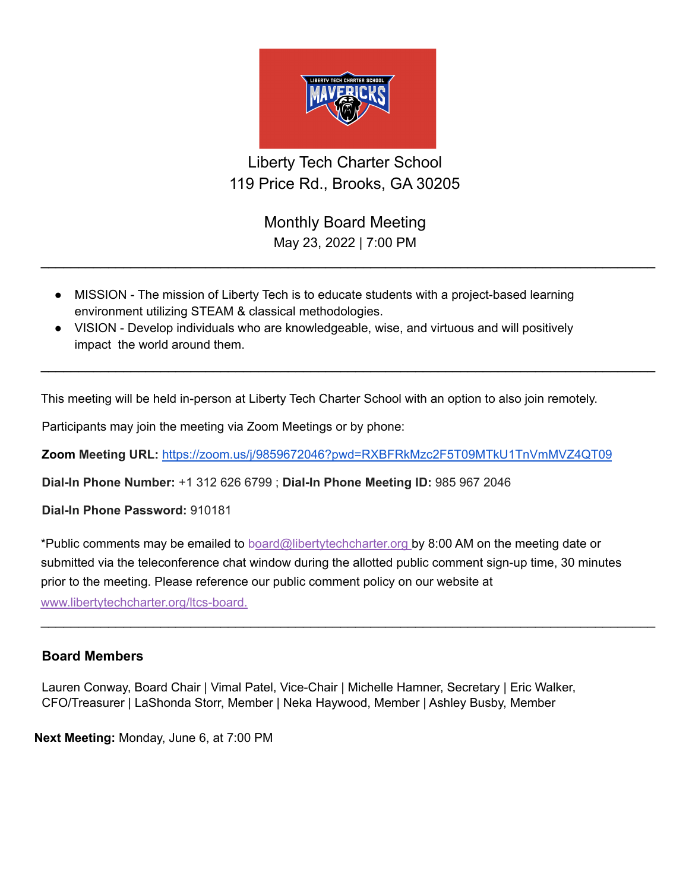

Liberty Tech Charter School 119 Price Rd., Brooks, GA 30205

> Monthly Board Meeting May 23, 2022 | 7:00 PM

 $\_$ 

 $\_$ 

- MISSION The mission of Liberty Tech is to educate students with a project-based learning environment utilizing STEAM & classical methodologies.
- VISION Develop individuals who are knowledgeable, wise, and virtuous and will positively impact the world around them.

This meeting will be held in-person at Liberty Tech Charter School with an option to also join remotely.

Participants may join the meeting via Zoom Meetings or by phone:

**Zoom Meeting URL:** <https://zoom.us/j/9859672046?pwd=RXBFRkMzc2F5T09MTkU1TnVmMVZ4QT09>

**Dial-In Phone Number:** +1 312 626 6799 ; **Dial-In Phone Meeting ID:** 985 967 2046

**Dial-In Phone Password:** 910181

\*Public comments may be emailed to board@libertytechcharter.org by 8:00 AM on the meeting date or submitted via the teleconference chat window during the allotted public comment sign-up time, 30 minutes prior to the meeting. Please reference our public comment policy on our website at www.libertytechcharter.org/ltcs-board.

 $\_$ 

## **Board Members**

Lauren Conway, Board Chair | Vimal Patel, Vice-Chair | Michelle Hamner, Secretary | Eric Walker, CFO/Treasurer | LaShonda Storr, Member | Neka Haywood, Member | Ashley Busby, Member

**Next Meeting:** Monday, June 6, at 7:00 PM